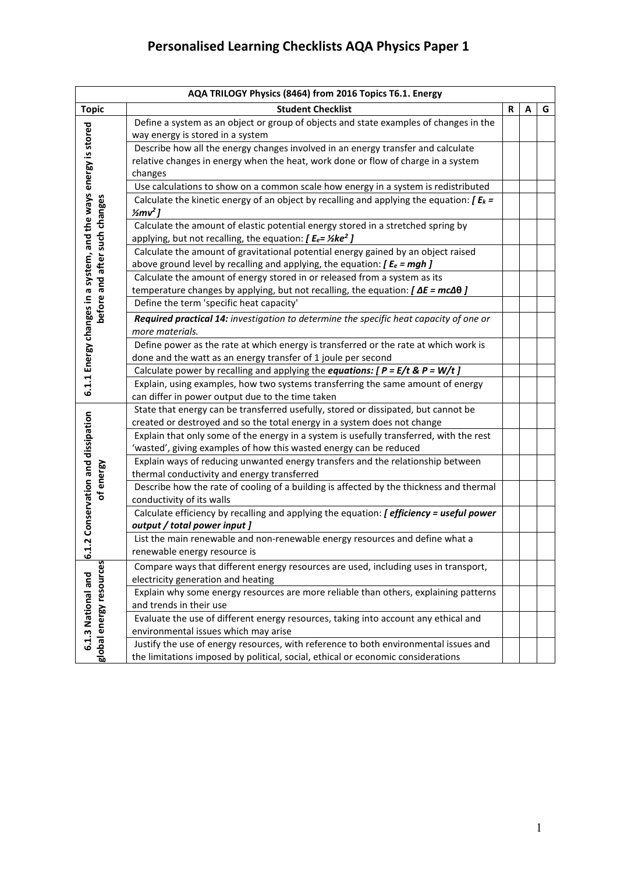| AQA TRILOGY Physics (8464) from 2016 Topics T6.1. Energy        |                                                                                                                                                                                                   |   |   |   |
|-----------------------------------------------------------------|---------------------------------------------------------------------------------------------------------------------------------------------------------------------------------------------------|---|---|---|
| <b>Topic</b>                                                    | <b>Student Checklist</b>                                                                                                                                                                          | R | A | G |
| 6.1.1 Energy changes in a system, and the ways energy is stored | Define a system as an object or group of objects and state examples of changes in the<br>way energy is stored in a system                                                                         |   |   |   |
|                                                                 | Describe how all the energy changes involved in an energy transfer and calculate<br>relative changes in energy when the heat, work done or flow of charge in a system<br>changes                  |   |   |   |
|                                                                 | Use calculations to show on a common scale how energy in a system is redistributed                                                                                                                |   |   |   |
|                                                                 | Calculate the kinetic energy of an object by recalling and applying the equation: $\int E_k =$<br>$\frac{1}{2}mv^2$ ]                                                                             |   |   |   |
| before and after such changes                                   | Calculate the amount of elastic potential energy stored in a stretched spring by<br>applying, but not recalling, the equation: $[ E_e = \frac{1}{2} \text{ke}^2 ]$                                |   |   |   |
|                                                                 | Calculate the amount of gravitational potential energy gained by an object raised<br>above ground level by recalling and applying, the equation: $\int E_e = mgh$ ]                               |   |   |   |
|                                                                 | Calculate the amount of energy stored in or released from a system as its<br>temperature changes by applying, but not recalling, the equation: $\textbf{[}\Delta E = mc\Delta\theta$ $\textbf{]}$ |   |   |   |
|                                                                 | Define the term 'specific heat capacity'                                                                                                                                                          |   |   |   |
|                                                                 | Required practical 14: investigation to determine the specific heat capacity of one or<br>more materials.                                                                                         |   |   |   |
|                                                                 | Define power as the rate at which energy is transferred or the rate at which work is                                                                                                              |   |   |   |
|                                                                 | done and the watt as an energy transfer of 1 joule per second                                                                                                                                     |   |   |   |
|                                                                 | Calculate power by recalling and applying the equations: $[ P = E/t \& P = W/t ]$                                                                                                                 |   |   |   |
|                                                                 | Explain, using examples, how two systems transferring the same amount of energy<br>can differ in power output due to the time taken                                                               |   |   |   |
|                                                                 | State that energy can be transferred usefully, stored or dissipated, but cannot be                                                                                                                |   |   |   |
|                                                                 | created or destroyed and so the total energy in a system does not change                                                                                                                          |   |   |   |
|                                                                 | Explain that only some of the energy in a system is usefully transferred, with the rest<br>'wasted', giving examples of how this wasted energy can be reduced                                     |   |   |   |
| of energy                                                       | Explain ways of reducing unwanted energy transfers and the relationship between<br>thermal conductivity and energy transferred                                                                    |   |   |   |
| .2 Conservation and dissipation                                 | Describe how the rate of cooling of a building is affected by the thickness and thermal<br>conductivity of its walls                                                                              |   |   |   |
|                                                                 | Calculate efficiency by recalling and applying the equation: [ efficiency = useful power                                                                                                          |   |   |   |
|                                                                 | output / total power input ]                                                                                                                                                                      |   |   |   |
| -                                                               | List the main renewable and non-renewable energy resources and define what a<br>renewable energy resource is                                                                                      |   |   |   |
| <u>ن</u>                                                        |                                                                                                                                                                                                   |   |   |   |
|                                                                 | Compare ways that different energy resources are used, including uses in transport,<br>electricity generation and heating                                                                         |   |   |   |
| global energy resources<br>6.1.3 National and                   | Explain why some energy resources are more reliable than others, explaining patterns                                                                                                              |   |   |   |
|                                                                 | and trends in their use                                                                                                                                                                           |   |   |   |
|                                                                 | Evaluate the use of different energy resources, taking into account any ethical and<br>environmental issues which may arise                                                                       |   |   |   |
|                                                                 | Justify the use of energy resources, with reference to both environmental issues and<br>the limitations imposed by political, social, ethical or economic considerations                          |   |   |   |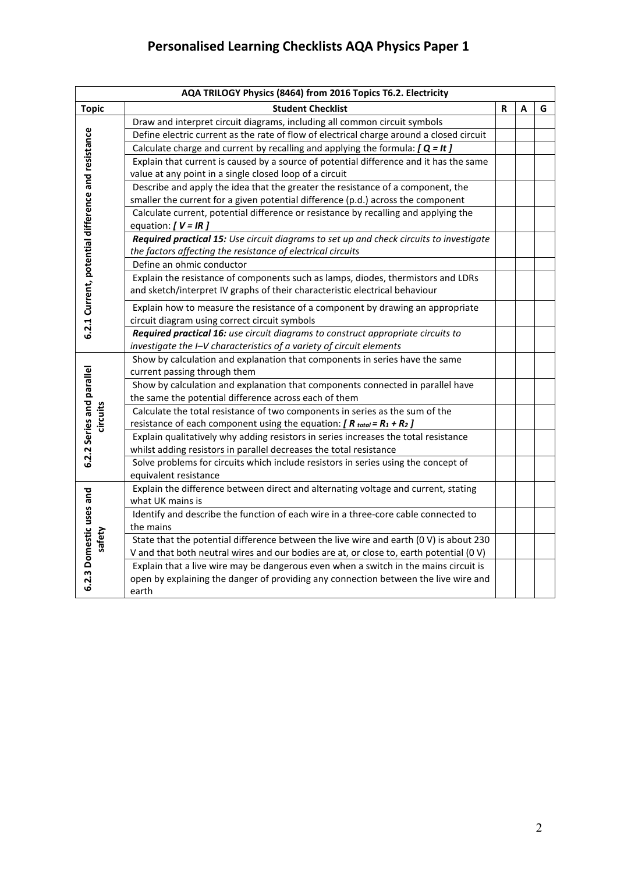|                                                    | AQA TRILOGY Physics (8464) from 2016 Topics T6.2. Electricity                            |   |   |   |
|----------------------------------------------------|------------------------------------------------------------------------------------------|---|---|---|
| <b>Topic</b>                                       | <b>Student Checklist</b>                                                                 | R | А | G |
|                                                    | Draw and interpret circuit diagrams, including all common circuit symbols                |   |   |   |
|                                                    | Define electric current as the rate of flow of electrical charge around a closed circuit |   |   |   |
|                                                    | Calculate charge and current by recalling and applying the formula: $[Q = It]$           |   |   |   |
|                                                    | Explain that current is caused by a source of potential difference and it has the same   |   |   |   |
|                                                    | value at any point in a single closed loop of a circuit                                  |   |   |   |
|                                                    | Describe and apply the idea that the greater the resistance of a component, the          |   |   |   |
|                                                    | smaller the current for a given potential difference (p.d.) across the component         |   |   |   |
|                                                    | Calculate current, potential difference or resistance by recalling and applying the      |   |   |   |
|                                                    | equation: $[V = IR]$                                                                     |   |   |   |
|                                                    | Required practical 15: Use circuit diagrams to set up and check circuits to investigate  |   |   |   |
|                                                    | the factors affecting the resistance of electrical circuits                              |   |   |   |
|                                                    | Define an ohmic conductor                                                                |   |   |   |
|                                                    | Explain the resistance of components such as lamps, diodes, thermistors and LDRs         |   |   |   |
| 6.2.1 Current, potential difference and resistance | and sketch/interpret IV graphs of their characteristic electrical behaviour              |   |   |   |
|                                                    | Explain how to measure the resistance of a component by drawing an appropriate           |   |   |   |
|                                                    | circuit diagram using correct circuit symbols                                            |   |   |   |
|                                                    | Required practical 16: use circuit diagrams to construct appropriate circuits to         |   |   |   |
|                                                    | investigate the I-V characteristics of a variety of circuit elements                     |   |   |   |
|                                                    | Show by calculation and explanation that components in series have the same              |   |   |   |
|                                                    | current passing through them                                                             |   |   |   |
|                                                    | Show by calculation and explanation that components connected in parallel have           |   |   |   |
| 6.2.2 Series and parallel                          | the same the potential difference across each of them                                    |   |   |   |
| circuits                                           | Calculate the total resistance of two components in series as the sum of the             |   |   |   |
|                                                    | resistance of each component using the equation: $[R_{total} = R_1 + R_2]$               |   |   |   |
|                                                    | Explain qualitatively why adding resistors in series increases the total resistance      |   |   |   |
|                                                    | whilst adding resistors in parallel decreases the total resistance                       |   |   |   |
|                                                    | Solve problems for circuits which include resistors in series using the concept of       |   |   |   |
|                                                    | equivalent resistance                                                                    |   |   |   |
|                                                    | Explain the difference between direct and alternating voltage and current, stating       |   |   |   |
|                                                    | what UK mains is                                                                         |   |   |   |
|                                                    | Identify and describe the function of each wire in a three-core cable connected to       |   |   |   |
|                                                    | the mains                                                                                |   |   |   |
| 6.2.3 Domestic uses and<br>safety                  | State that the potential difference between the live wire and earth (0 V) is about 230   |   |   |   |
|                                                    | V and that both neutral wires and our bodies are at, or close to, earth potential (0 V)  |   |   |   |
|                                                    | Explain that a live wire may be dangerous even when a switch in the mains circuit is     |   |   |   |
|                                                    | open by explaining the danger of providing any connection between the live wire and      |   |   |   |
|                                                    | earth                                                                                    |   |   |   |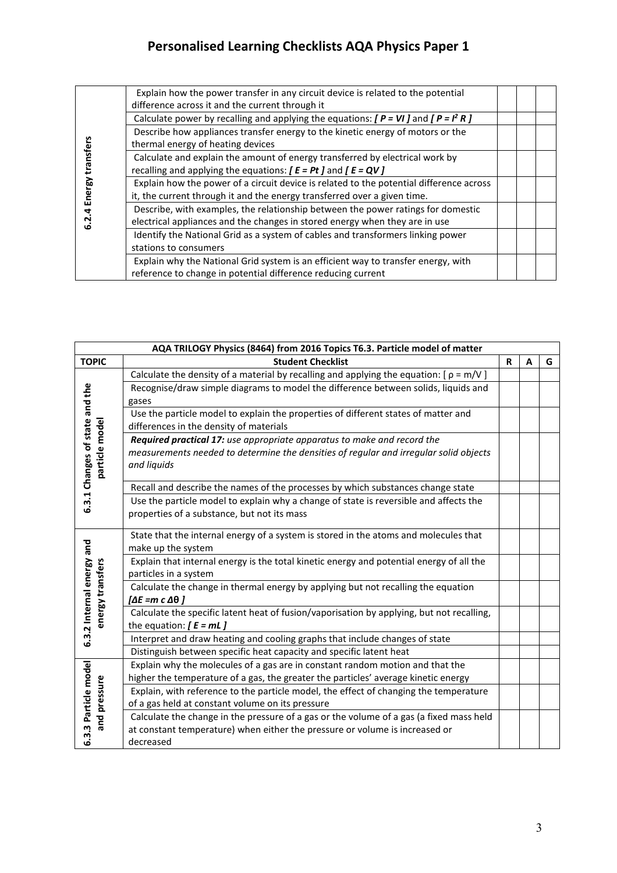|                  | Explain how the power transfer in any circuit device is related to the potential         |  |  |
|------------------|------------------------------------------------------------------------------------------|--|--|
|                  | difference across it and the current through it                                          |  |  |
|                  | Calculate power by recalling and applying the equations: $[ P = VI ]$ and $[ P = I2 R ]$ |  |  |
|                  | Describe how appliances transfer energy to the kinetic energy of motors or the           |  |  |
| Energy transfers | thermal energy of heating devices                                                        |  |  |
|                  | Calculate and explain the amount of energy transferred by electrical work by             |  |  |
|                  | recalling and applying the equations: $[ E = Pt ]$ and $[ E = QV ]$                      |  |  |
|                  | Explain how the power of a circuit device is related to the potential difference across  |  |  |
|                  | it, the current through it and the energy transferred over a given time.                 |  |  |
| 4                | Describe, with examples, the relationship between the power ratings for domestic         |  |  |
|                  | electrical appliances and the changes in stored energy when they are in use              |  |  |
|                  | Identify the National Grid as a system of cables and transformers linking power          |  |  |
|                  | stations to consumers                                                                    |  |  |
|                  | Explain why the National Grid system is an efficient way to transfer energy, with        |  |  |
|                  | reference to change in potential difference reducing current                             |  |  |

| AQA TRILOGY Physics (8464) from 2016 Topics T6.3. Particle model of matter |                                                                                           |   |   |   |
|----------------------------------------------------------------------------|-------------------------------------------------------------------------------------------|---|---|---|
| <b>TOPIC</b>                                                               | <b>Student Checklist</b>                                                                  | R | A | G |
|                                                                            | Calculate the density of a material by recalling and applying the equation: $[p = m/V]$   |   |   |   |
|                                                                            | Recognise/draw simple diagrams to model the difference between solids, liquids and        |   |   |   |
|                                                                            | gases                                                                                     |   |   |   |
|                                                                            | Use the particle model to explain the properties of different states of matter and        |   |   |   |
|                                                                            | differences in the density of materials                                                   |   |   |   |
|                                                                            | Required practical 17: use appropriate apparatus to make and record the                   |   |   |   |
|                                                                            | measurements needed to determine the densities of regular and irregular solid objects     |   |   |   |
| 3.1 Changes of state and the<br>particle model                             | and liquids                                                                               |   |   |   |
|                                                                            | Recall and describe the names of the processes by which substances change state           |   |   |   |
|                                                                            | Use the particle model to explain why a change of state is reversible and affects the     |   |   |   |
| ئە                                                                         | properties of a substance, but not its mass                                               |   |   |   |
|                                                                            |                                                                                           |   |   |   |
|                                                                            | State that the internal energy of a system is stored in the atoms and molecules that      |   |   |   |
|                                                                            | make up the system                                                                        |   |   |   |
|                                                                            | Explain that internal energy is the total kinetic energy and potential energy of all the  |   |   |   |
|                                                                            | particles in a system                                                                     |   |   |   |
| 6.3.2 Internal energy and<br>energy transfers                              | Calculate the change in thermal energy by applying but not recalling the equation         |   |   |   |
|                                                                            | [ΔE =m c Δθ ]                                                                             |   |   |   |
|                                                                            | Calculate the specific latent heat of fusion/vaporisation by applying, but not recalling, |   |   |   |
|                                                                            | the equation: $[ E = mL ]$                                                                |   |   |   |
|                                                                            | Interpret and draw heating and cooling graphs that include changes of state               |   |   |   |
|                                                                            | Distinguish between specific heat capacity and specific latent heat                       |   |   |   |
|                                                                            | Explain why the molecules of a gas are in constant random motion and that the             |   |   |   |
|                                                                            | higher the temperature of a gas, the greater the particles' average kinetic energy        |   |   |   |
| 6.3.3 Particle model<br>and pressure                                       | Explain, with reference to the particle model, the effect of changing the temperature     |   |   |   |
|                                                                            | of a gas held at constant volume on its pressure                                          |   |   |   |
|                                                                            | Calculate the change in the pressure of a gas or the volume of a gas (a fixed mass held   |   |   |   |
|                                                                            | at constant temperature) when either the pressure or volume is increased or               |   |   |   |
|                                                                            | decreased                                                                                 |   |   |   |